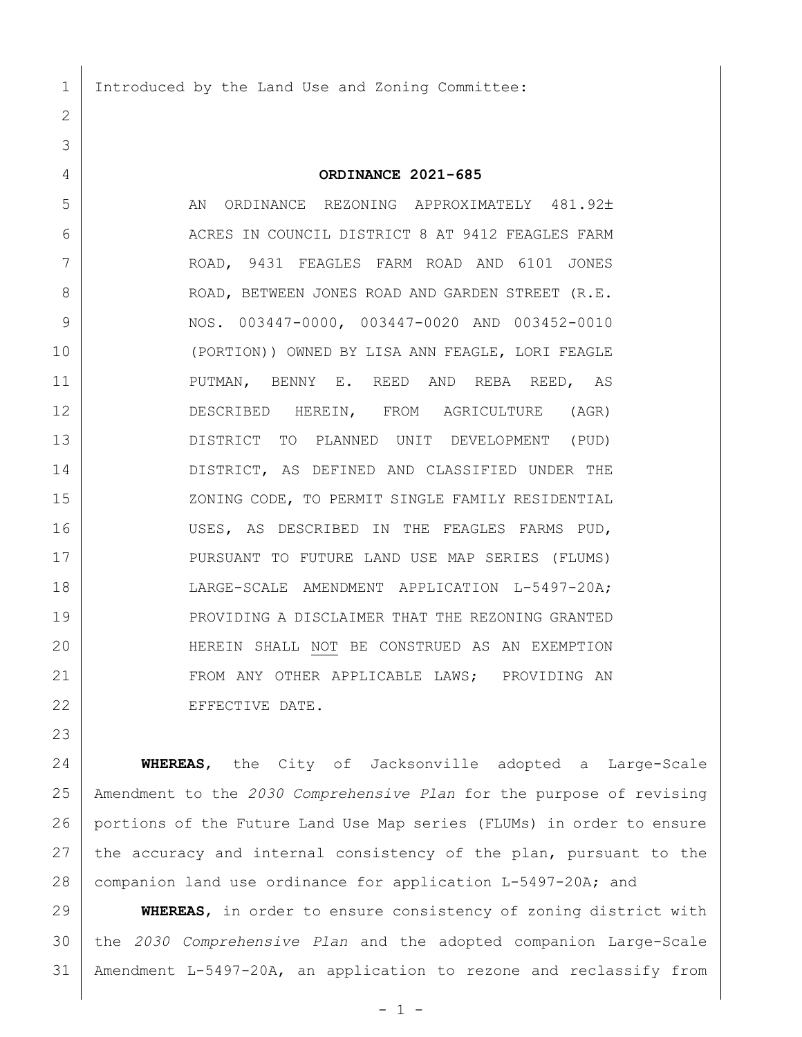Introduced by the Land Use and Zoning Committee:

**ORDINANCE 2021-685**

5 AN ORDINANCE REZONING APPROXIMATELY 481.92± 6 ACRES IN COUNCIL DISTRICT 8 AT 9412 FEAGLES FARM ROAD, 9431 FEAGLES FARM ROAD AND 6101 JONES 8 ROAD, BETWEEN JONES ROAD AND GARDEN STREET (R.E. NOS. 003447-0000, 003447-0020 AND 003452-0010 (PORTION)) OWNED BY LISA ANN FEAGLE, LORI FEAGLE PUTMAN, BENNY E. REED AND REBA REED, AS DESCRIBED HEREIN, FROM AGRICULTURE (AGR) DISTRICT TO PLANNED UNIT DEVELOPMENT (PUD) DISTRICT, AS DEFINED AND CLASSIFIED UNDER THE 15 | XONING CODE, TO PERMIT SINGLE FAMILY RESIDENTIAL USES, AS DESCRIBED IN THE FEAGLES FARMS PUD, 17 | PURSUANT TO FUTURE LAND USE MAP SERIES (FLUMS) LARGE-SCALE AMENDMENT APPLICATION L-5497-20A; PROVIDING A DISCLAIMER THAT THE REZONING GRANTED HEREIN SHALL NOT BE CONSTRUED AS AN EXEMPTION 21 FROM ANY OTHER APPLICABLE LAWS; PROVIDING AN 22 EFFECTIVE DATE.

 **WHEREAS**, the City of Jacksonville adopted a Large-Scale Amendment to the *2030 Comprehensive Plan* for the purpose of revising portions of the Future Land Use Map series (FLUMs) in order to ensure 27 the accuracy and internal consistency of the plan, pursuant to the 28 | companion land use ordinance for application L-5497-20A; and

 **WHEREAS**, in order to ensure consistency of zoning district with the *2030 Comprehensive Plan* and the adopted companion Large-Scale Amendment L-5497-20A, an application to rezone and reclassify from

 $-1 -$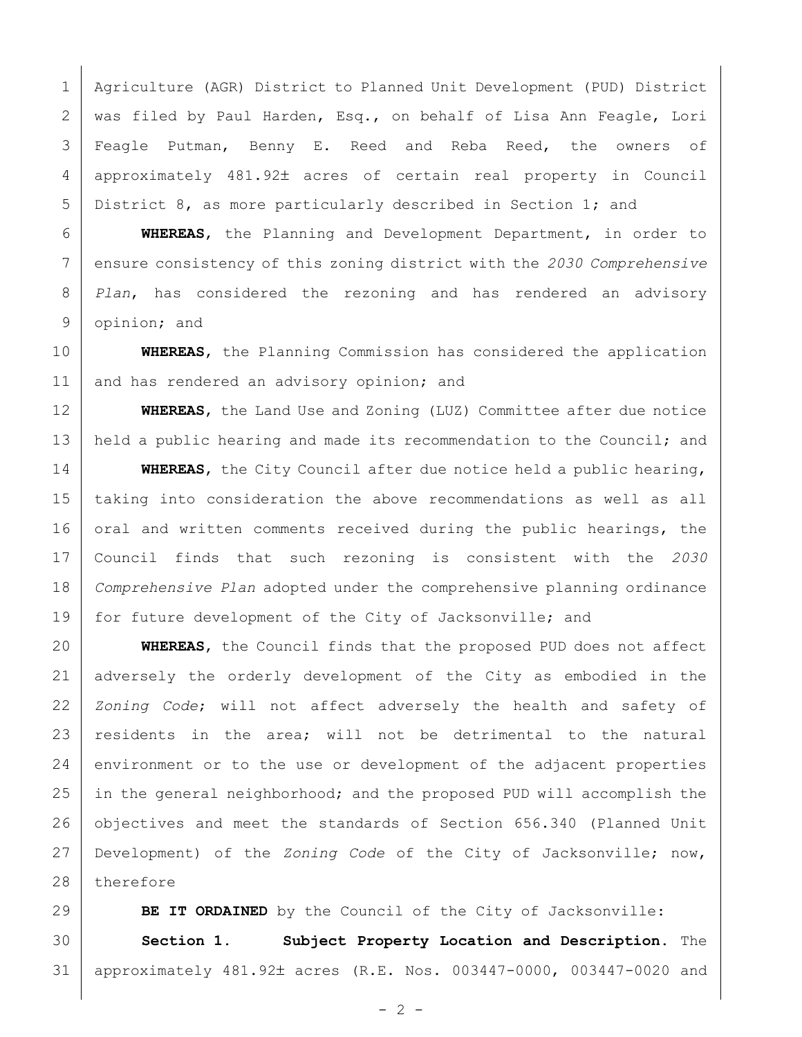Agriculture (AGR) District to Planned Unit Development (PUD) District was filed by Paul Harden, Esq., on behalf of Lisa Ann Feagle, Lori 3 | Feagle Putman, Benny E. Reed and Reba Reed, the owners of 4 | approximately 481.92± acres of certain real property in Council District 8, as more particularly described in Section 1; and

 **WHEREAS**, the Planning and Development Department, in order to ensure consistency of this zoning district with the *2030 Comprehensive Plan*, has considered the rezoning and has rendered an advisory opinion; and

 **WHEREAS**, the Planning Commission has considered the application 11 and has rendered an advisory opinion; and

 **WHEREAS**, the Land Use and Zoning (LUZ) Committee after due notice 13 held a public hearing and made its recommendation to the Council; and

**WHEREAS**, the City Council after due notice held a public hearing, taking into consideration the above recommendations as well as all 16 oral and written comments received during the public hearings, the Council finds that such rezoning is consistent with the *2030 Comprehensive Plan* adopted under the comprehensive planning ordinance for future development of the City of Jacksonville; and

 **WHEREAS**, the Council finds that the proposed PUD does not affect adversely the orderly development of the City as embodied in the *Zoning Code*; will not affect adversely the health and safety of 23 residents in the area; will not be detrimental to the natural 24 environment or to the use or development of the adjacent properties 25 in the general neighborhood; and the proposed PUD will accomplish the objectives and meet the standards of Section 656.340 (Planned Unit Development) of the *Zoning Code* of the City of Jacksonville; now, 28 therefore

**BE IT ORDAINED** by the Council of the City of Jacksonville: **Section 1. Subject Property Location and Description.** The 31 | approximately 481.92± acres (R.E. Nos. 003447-0000, 003447-0020 and

 $- 2 -$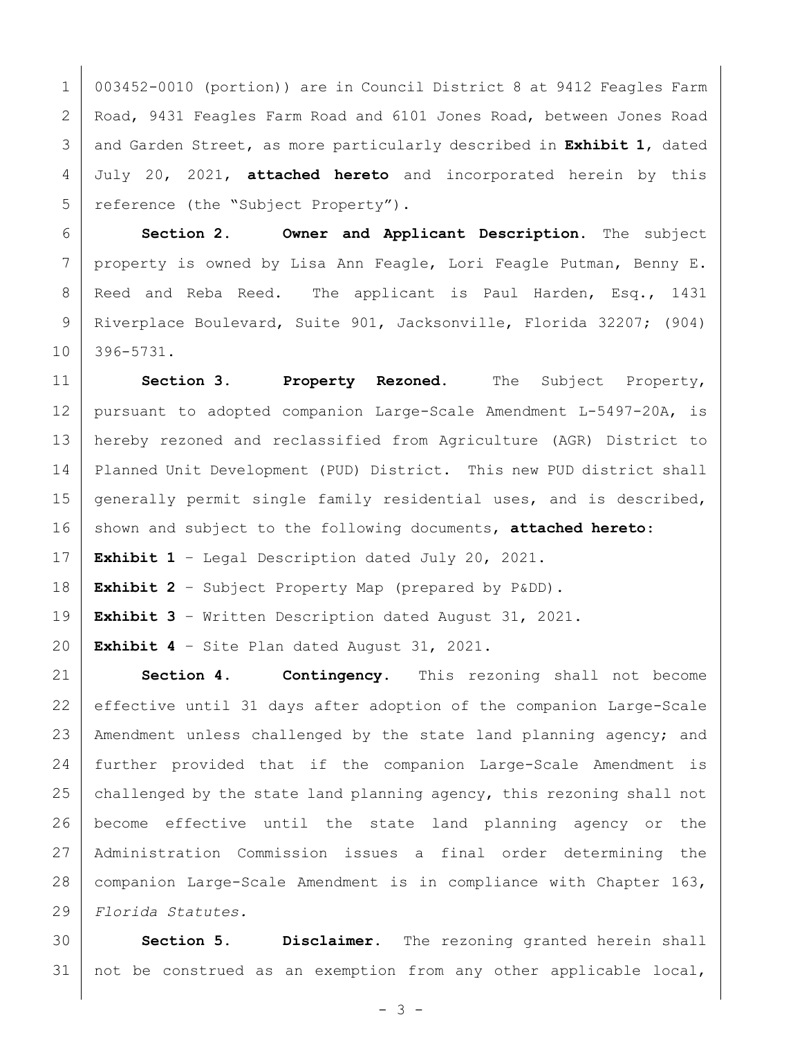003452-0010 (portion)) are in Council District 8 at 9412 Feagles Farm Road, 9431 Feagles Farm Road and 6101 Jones Road, between Jones Road and Garden Street, as more particularly described in **Exhibit 1**, dated July 20, 2021, **attached hereto** and incorporated herein by this 5 reference (the "Subject Property").

 **Section 2. Owner and Applicant Description.** The subject 7 | property is owned by Lisa Ann Feagle, Lori Feagle Putman, Benny E. 8 Reed and Reba Reed. The applicant is Paul Harden, Esq., 1431 Riverplace Boulevard, Suite 901, Jacksonville, Florida 32207; (904) 396-5731.

 **Section 3. Property Rezoned.** The Subject Property, pursuant to adopted companion Large-Scale Amendment L-5497-20A, is hereby rezoned and reclassified from Agriculture (AGR) District to Planned Unit Development (PUD) District. This new PUD district shall 15 generally permit single family residential uses, and is described, 16 shown and subject to the following documents, **attached hereto**:

**Exhibit 1** – Legal Description dated July 20, 2021.

**Exhibit 2** – Subject Property Map (prepared by P&DD).

**Exhibit 3** – Written Description dated August 31, 2021.

**Exhibit 4** – Site Plan dated August 31, 2021.

 **Section 4. Contingency.** This rezoning shall not become effective until 31 days after adoption of the companion Large-Scale 23 | Amendment unless challenged by the state land planning agency; and further provided that if the companion Large-Scale Amendment is 25 challenged by the state land planning agency, this rezoning shall not become effective until the state land planning agency or the Administration Commission issues a final order determining the companion Large-Scale Amendment is in compliance with Chapter 163, *Florida Statutes.*

 **Section 5. Disclaimer.** The rezoning granted herein shall 31 | not be construed as an exemption from any other applicable local,

- 3 -